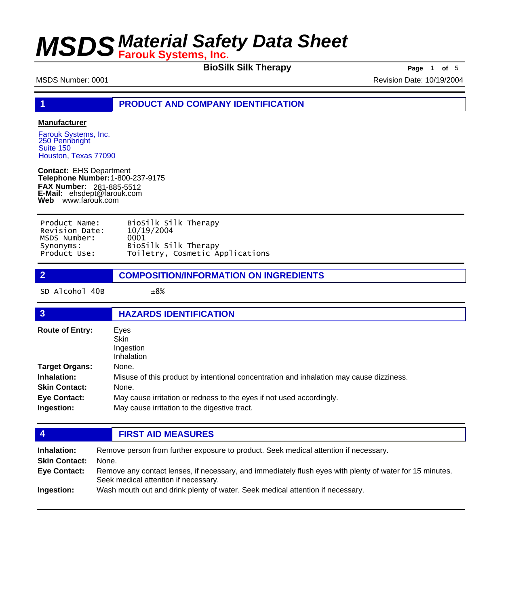**BioSilk Silk Therapy Page** 1 of 5

MSDS Number: 0001 80001 2004

**1 PRODUCT AND COMPANY IDENTIFICATION**

### **Manufacturer**

Farouk Systems, Inc. 250 Pennbright Suite 150 Houston, Texas 77090

**Contact:** EHS Department **Telephone Number:** 1-800-237-9175 **FAX Number: FAX Number:** 281-885-5512<br>**E-Mail:** ehsdept@farouk.com **Web** www.farouk.com

| Product Name:  | BioSilk Silk Therapy            |
|----------------|---------------------------------|
| Revision Date: | 10/19/2004                      |
| MSDS Number:   | 0001                            |
| Synonyms:      | BioSilk Silk Therapy            |
| Product Use:   | Toiletry, Cosmetic Applications |

| $\overline{2}$         | <b>COMPOSITION/INFORMATION ON INGREDIENTS</b>                                           |  |
|------------------------|-----------------------------------------------------------------------------------------|--|
| SD Alcohol 40B         | ±8%                                                                                     |  |
| $\overline{3}$         | <b>HAZARDS IDENTIFICATION</b>                                                           |  |
| <b>Route of Entry:</b> | Eyes<br>Skin<br>Ingestion<br>Inhalation                                                 |  |
| <b>Target Organs:</b>  | None.                                                                                   |  |
| Inhalation:            | Misuse of this product by intentional concentration and inhalation may cause dizziness. |  |

| <b>Skin Contact:</b> | None.                                                                |
|----------------------|----------------------------------------------------------------------|
| <b>Eye Contact:</b>  | May cause irritation or redness to the eyes if not used accordingly. |
| Ingestion:           | May cause irritation to the digestive tract.                         |

### **4 FIRST AID MEASURES**

| Inhalation:<br><b>Skin Contact:</b><br><b>Eye Contact:</b> | Remove person from further exposure to product. Seek medical attention if necessary.<br>None.<br>Remove any contact lenses, if necessary, and immediately flush eyes with plenty of water for 15 minutes.<br>Seek medical attention if necessary. |
|------------------------------------------------------------|---------------------------------------------------------------------------------------------------------------------------------------------------------------------------------------------------------------------------------------------------|
| Ingestion:                                                 | Wash mouth out and drink plenty of water. Seek medical attention if necessary.                                                                                                                                                                    |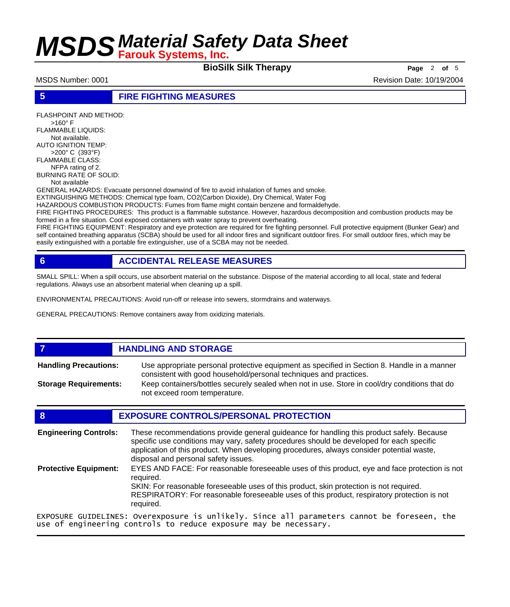**BioSilk Silk Therapy Page** <sup>2</sup> **of** <sup>5</sup>

MSDS Number: 0001 **Revision Date: 10/19/2004** Revision Date: 10/19/2004

### **5 FIRE FIGHTING MEASURES**

FLASHPOINT AND METHOD: >160° F FLAMMABLE LIQUIDS: Not available. AUTO IGNITION TEMP: >200° C (393°F) FLAMMABLE CLASS: NFPA rating of 2. BURNING RATE OF SOLID: Not available

GENERAL HAZARDS: Evacuate personnel downwind of fire to avoid inhalation of fumes and smoke.

EXTINGUISHING METHODS: Chemical type foam, CO2(Carbon Dioxide), Dry Chemical, Water Fog HAZARDOUS COMBUSTION PRODUCTS: Fumes from flame might contain benzene and formaldehyde.

FIRE FIGHTING PROCEDURES: This product is a flammable substance. However, hazardous decomposition and combustion products may be

formed in a fire situation. Cool exposed containers with water spray to prevent overheating. FIRE FIGHTING EQUIPMENT: Respiratory and eye protection are required for fire fighting personnel. Full protective equipment (Bunker Gear) and self contained breathing apparatus (SCBA) should be used for all indoor fires and significant outdoor fires. For small outdoor fires, which may be easily extinguished with a portable fire extinguisher, use of a SCBA may not be needed.

## **6 ACCIDENTAL RELEASE MEASURES**

SMALL SPILL: When a spill occurs, use absorbent material on the substance. Dispose of the material according to all local, state and federal regulations. Always use an absorbent material when cleaning up a spill.

ENVIRONMENTAL PRECAUTIONS: Avoid run-off or release into sewers, stormdrains and waterways.

use of engineering controls to reduce exposure may be necessary.

GENERAL PRECAUTIONS: Remove containers away from oxidizing materials.

## *HANDLING AND STORAGE*

Use appropriate personal protective equipment as specified in Section 8. Handle in a manner consistent with good household/personal techniques and practices. **Handling Precautions:** Keep containers/bottles securely sealed when not in use. Store in cool/dry conditions that do not exceed room temperature. **Storage Requirements:**

## **8 EXPOSURE CONTROLS/PERSONAL PROTECTION**

These recommendations provide general guideance for handling this product safely. Because specific use conditions may vary, safety procedures should be developed for each specific application of this product. When developing procedures, always consider potential waste, disposal and personal safety issues. **Engineering Controls:** EYES AND FACE: For reasonable foreseeable uses of this product, eye and face protection is not required. SKIN: For reasonable foreseeable uses of this product, skin protection is not required. RESPIRATORY: For reasonable foreseeable uses of this product, respiratory protection is not required. **Protective Equipment:** EXPOSURE GUIDELINES: Overexposure is unlikely. Since all parameters cannot be foreseen, the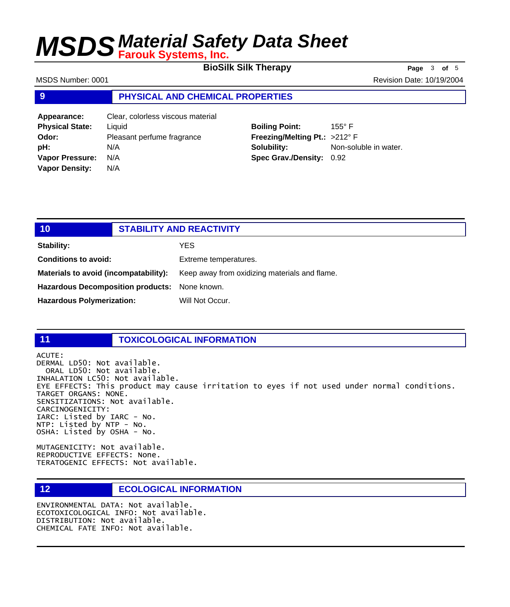**BioSilk Silk Therapy Page** <sup>3</sup> **of** <sup>5</sup>

MSDS Number: 0001 **Revision Date: 10/19/2004** Revision Date: 10/19/2004

### **9 PHYSICAL AND CHEMICAL PROPERTIES**

| Clear, colorless viscous material |
|-----------------------------------|
|                                   |
| Pleasant perfume fragrance        |
|                                   |
|                                   |
|                                   |
|                                   |

## **Boiling Point:** 155° F **Freezing/Melting Pt.:** >212° F **Solubility:** Non-soluble in water. **Spec Grav./Density:** 0.92

| 10                                       | <b>STABILITY AND REACTIVITY</b>               |
|------------------------------------------|-----------------------------------------------|
| Stability:                               | YES                                           |
| <b>Conditions to avoid:</b>              | Extreme temperatures.                         |
| Materials to avoid (incompatability):    | Keep away from oxidizing materials and flame. |
| <b>Hazardous Decomposition products:</b> | None known.                                   |
| <b>Hazardous Polymerization:</b>         | Will Not Occur.                               |

## **11 TOXICOLOGICAL INFORMATION**

ACUTE: DERMAL LD50: Not available. ORAL LD50: Not available. INHALATION LC50: Not available. EYE EFFECTS: This product may cause irritation to eyes if not used under normal conditions. TARGET ORGANS: NONE. SENSITIZATIONS: Not available. CARCINOGENICITY: IARC: Listed by IARC - No. NTP: Listed by NTP - No. OSHA: Listed by OSHA - No.

MUTAGENICITY: Not available. REPRODUCTIVE EFFECTS: None. TERATOGENIC EFFECTS: Not available.

# **12 ECOLOGICAL INFORMATION**

ENVIRONMENTAL DATA: Not available. ECOTOXICOLOGICAL INFO: Not available. DISTRIBUTION: Not available. CHEMICAL FATE INFO: Not available.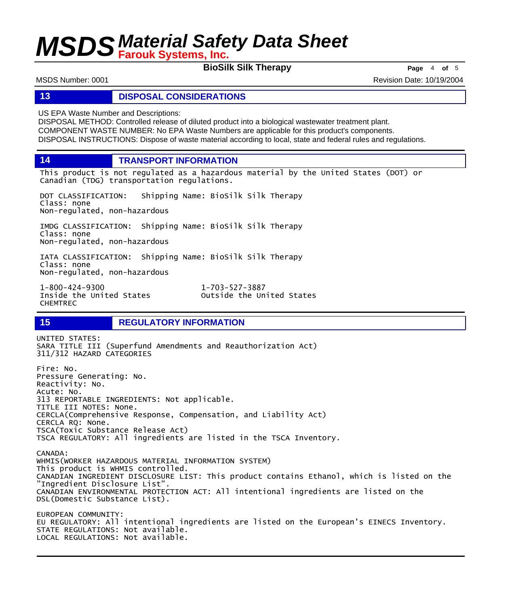**BioSilk Silk Therapy Page** <sup>4</sup> **of** <sup>5</sup>

MSDS Number: 0001 **Revision Date: 10/19/2004** Revision Date: 10/19/2004

### **13 DISPOSAL CONSIDERATIONS**

US EPA Waste Number and Descriptions:

DISPOSAL METHOD: Controlled release of diluted product into a biological wastewater treatment plant. COMPONENT WASTE NUMBER: No EPA Waste Numbers are applicable for this product's components. DISPOSAL INSTRUCTIONS: Dispose of waste material according to local, state and federal rules and regulations.

**14 TRANSPORT INFORMATION**

This product is not regulated as a hazardous material by the United States (DOT) or Canadian (TDG) transportation regulations.

DOT CLASSIFICATION: Shipping Name: BioSilk Silk Therapy Class: none Non-regulated, non-hazardous

IMDG CLASSIFICATION: Shipping Name: BioSilk Silk Therapy Class: none Non-regulated, non-hazardous

IATA CLASSIFICATION: Shipping Name: BioSilk Silk Therapy Class: none Non-regulated, non-hazardous

1-800-424-9300 1-703-527-3887 CHEMTREC

Outside the United States

### **15 REGULATORY INFORMATION**

UNITED STATES: SARA TITLE III (Superfund Amendments and Reauthorization Act) 311/312 HAZARD CATEGORIES Fire: No. Pressure Generating: No. Reactivity: No. Acute: No. 313 REPORTABLE INGREDIENTS: Not applicable. TITLE III NOTES: None. CERCLA(Comprehensive Response, Compensation, and Liability Act) CERCLA RQ: None. TSCA(Toxic Substance Release Act) TSCA REGULATORY: All ingredients are listed in the TSCA Inventory. CANADA: WHMIS(WORKER HAZARDOUS MATERIAL INFORMATION SYSTEM) This product is WHMIS controlled. CANADIAN INGREDIENT DISCLOSURE LIST: This product contains Ethanol, which is listed on the "Ingredient Disclosure List". CANADIAN ENVIRONMENTAL PROTECTION ACT: All intentional ingredients are listed on the DSL(Domestic Substance List). EUROPEAN COMMUNITY: EU REGULATORY: All intentional ingredients are listed on the European's EINECS Inventory. STATE REGULATIONS: Not available. LOCAL REGULATIONS: Not available.